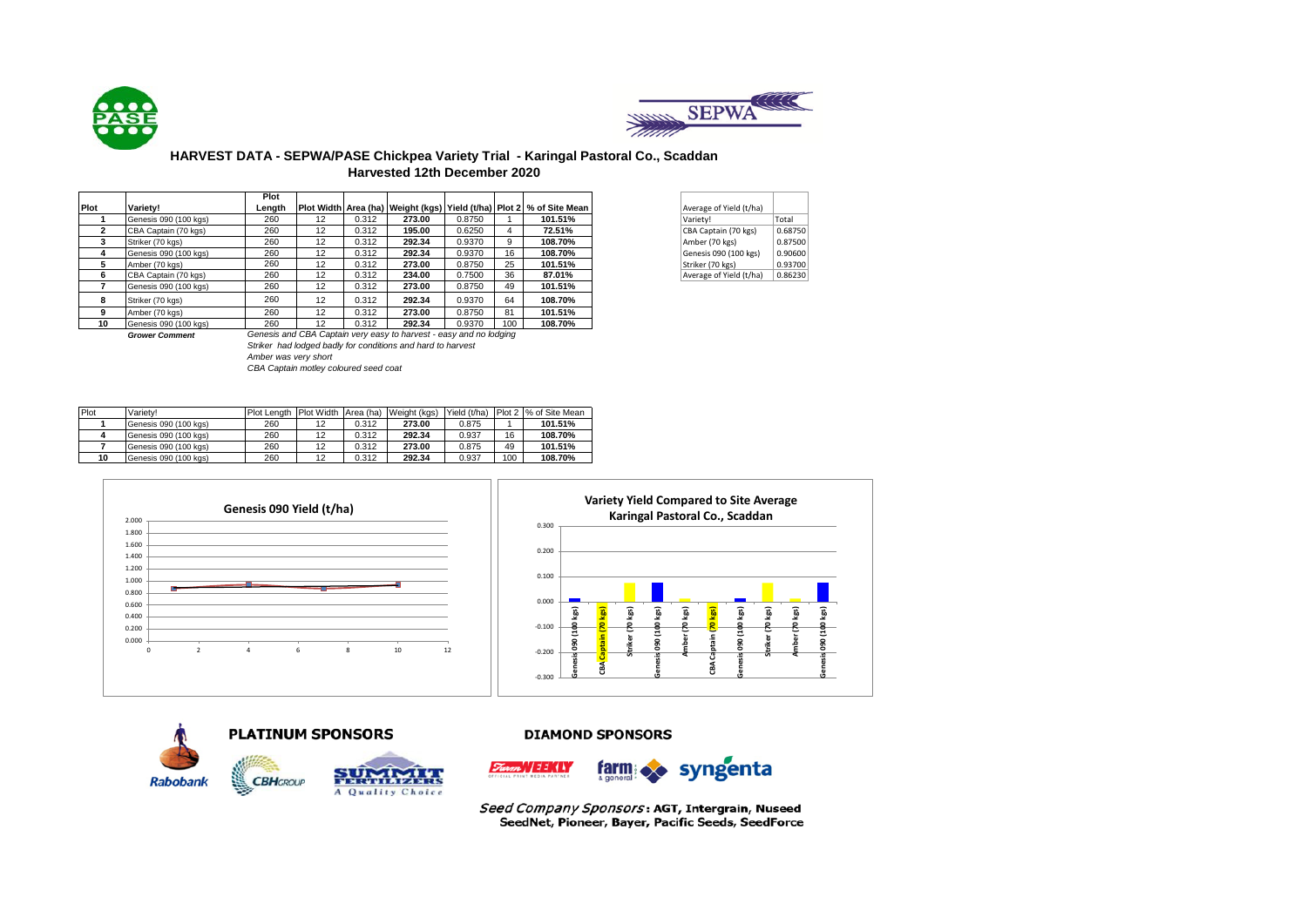



## **HARVEST DATA - SEPWA/PASE Chickpea Variety Trial - Karingal Pastoral Co., Scaddan Harvested 12th December 2020**

|      |                       | Plot   |    |       |                                                                    |        |     |                                                                              |                         |         |
|------|-----------------------|--------|----|-------|--------------------------------------------------------------------|--------|-----|------------------------------------------------------------------------------|-------------------------|---------|
| Plot | Variety!              | Length |    |       |                                                                    |        |     | Plot Width Area (ha)   Weight (kgs)   Yield (t/ha)   Plot 2   % of Site Mean | Average of Yield (t/ha) |         |
|      | Genesis 090 (100 kgs) | 260    | 12 | 0.312 | 273.00                                                             | 0.8750 |     | 101.51%                                                                      | Variety!                | Total   |
|      | CBA Captain (70 kgs)  | 260    | 12 | 0.312 | 195.00                                                             | 0.6250 | 4   | 72.51%                                                                       | CBA Captain (70 kgs)    | 0.68750 |
| 3    | Striker (70 kgs)      | 260    | 12 | 0.312 | 292.34                                                             | 0.9370 | 9   | 108.70%                                                                      | Amber (70 kgs)          | 0.87500 |
| 4    | Genesis 090 (100 kgs) | 260    | 12 | 0.312 | 292.34                                                             | 0.9370 | 16  | 108.70%                                                                      | Genesis 090 (100 kgs)   | 0.90600 |
| 5    | Amber (70 kgs)        | 260    | 12 | 0.312 | 273.00                                                             | 0.8750 | 25  | 101.51%                                                                      | Striker (70 kgs)        | 0.93700 |
| 6    | CBA Captain (70 kgs)  | 260    | 12 | 0.312 | 234.00                                                             | 0.7500 | 36  | 87.01%                                                                       | Average of Yield (t/ha) | 0.86230 |
|      | Genesis 090 (100 kgs) | 260    | 12 | 0.312 | 273.00                                                             | 0.8750 | 49  | 101.51%                                                                      |                         |         |
| 8    | Striker (70 kgs)      | 260    | 12 | 0.312 | 292.34                                                             | 0.9370 | 64  | 108.70%                                                                      |                         |         |
| 9    | Amber (70 kgs)        | 260    | 12 | 0.312 | 273.00                                                             | 0.8750 | 81  | 101.51%                                                                      |                         |         |
| 10   | Genesis 090 (100 kgs) | 260    | 12 | 0.312 | 292.34                                                             | 0.9370 | 100 | 108.70%                                                                      |                         |         |
|      | <b>Grower Comment</b> |        |    |       | Genesis and CBA Captain very easy to harvest - easy and no lodging |        |     |                                                                              |                         |         |

| Average of Yield (t/ha) |         |
|-------------------------|---------|
| Variety!                | Total   |
| CBA Captain (70 kgs)    | 0.68750 |
| Amber (70 kgs)          | 0.87500 |
| Genesis 090 (100 kgs)   | 0.90600 |
| Striker (70 kgs)        | 0.93700 |
| Average of Yield (t/ha) | 0.86230 |

*Striker had lodged badly for conditions and hard to harvest Amber was very short CBA Captain motley coloured seed coat*

| Plot | Variety!              |     |    |       | Plot Length Plot Width Area (ha) Weight (kgs) | Yield (t/ha) |     | Plot 2 % of Site Mean |
|------|-----------------------|-----|----|-------|-----------------------------------------------|--------------|-----|-----------------------|
|      | Genesis 090 (100 kgs) | 260 |    | 0.312 | 273.00                                        | 0.875        |     | 101.51%               |
|      | Genesis 090 (100 kgs) | 260 | 12 | 0.312 | 292.34                                        | 0.937        | 16  | 108.70%               |
|      | Genesis 090 (100 kgs) | 260 |    | 0.312 | 273.00                                        | 0.875        | 49  | 101.51%               |
| 10   | Genesis 090 (100 kgs) | 260 | 12 | 0.312 | 292.34                                        | 0.937        | 100 | 108.70%               |





### **PLATINUM SPONSORS**



### **DIAMOND SPONSORS**



Seed Company Sponsors: AGT, Intergrain, Nuseed SeedNet, Pioneer, Bayer, Pacific Seeds, SeedForce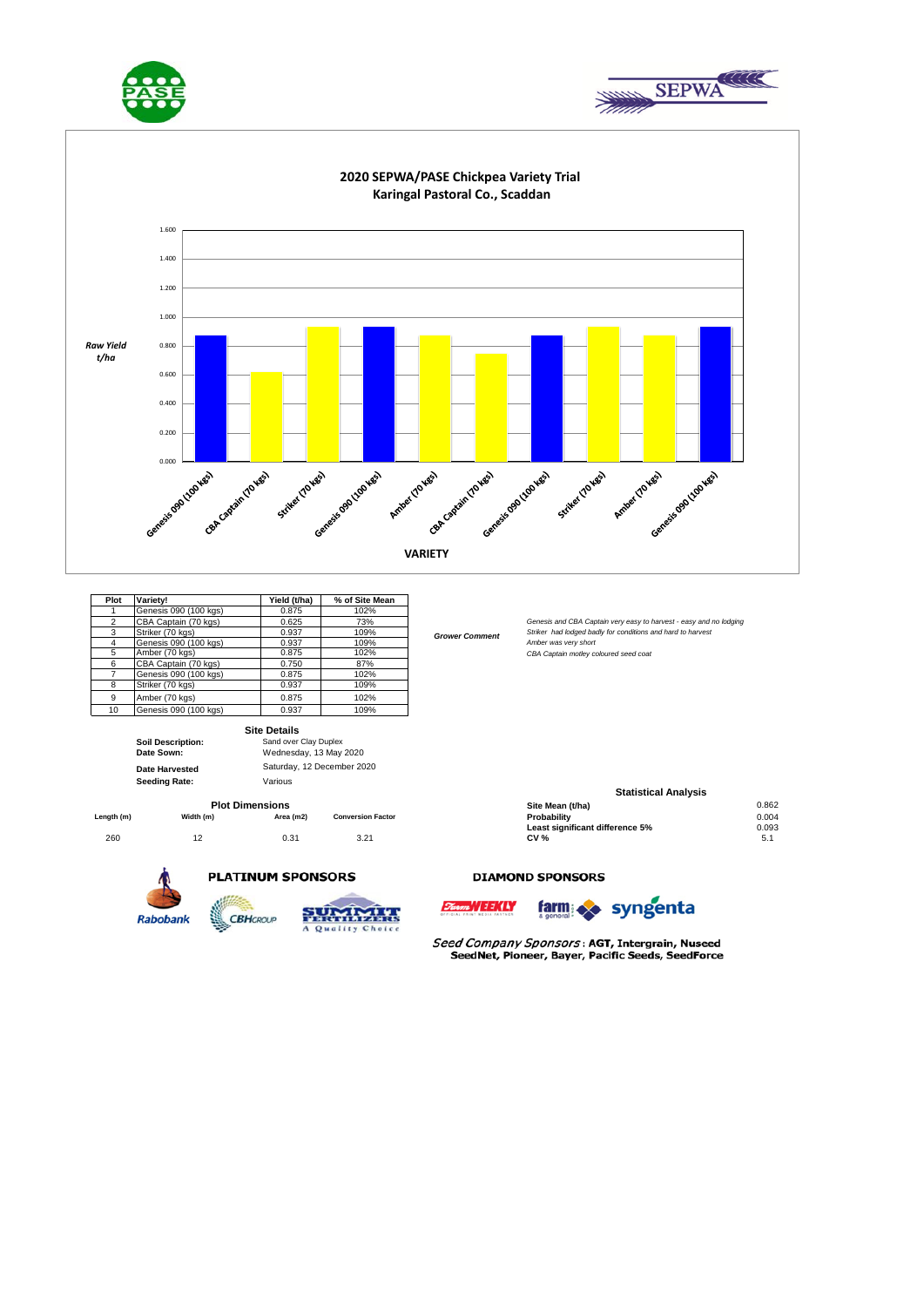





*Grower Comment*

| Plot           | Varietv!              | Yield (t/ha) | % of Site Mean |
|----------------|-----------------------|--------------|----------------|
|                | Genesis 090 (100 kgs) | 0.875        | 102%           |
| $\overline{2}$ | CBA Captain (70 kgs)  | 0.625        | 73%            |
| 3              | Striker (70 kgs)      | 0.937        | 109%           |
| 4              | Genesis 090 (100 kgs) | 0.937        | 109%           |
| 5              | Amber (70 kgs)        | 0.875        | 102%           |
| 6              | CBA Captain (70 kgs)  | 0.750        | 87%            |
|                | Genesis 090 (100 kgs) | 0.875        | 102%           |
| 8              | Striker (70 kgs)      | 0.937        | 109%           |
| 9              | Amber (70 kgs)        | 0.875        | 102%           |
| 10             | Genesis 090 (100 kgs) | 0.937        | 109%           |

|                          | <b>Site Details</b>        |
|--------------------------|----------------------------|
| <b>Soil Description:</b> | Sand over Clav Duplex      |
| Date Sown:               | Wednesday, 13 May 2020     |
| <b>Date Harvested</b>    | Saturday, 12 December 2020 |
|                          |                            |

**Date Harveste Seeding Rate:** Various

|           |           |                          | Site Mean (t/ha)                | 0.862 |
|-----------|-----------|--------------------------|---------------------------------|-------|
| Width (m) | Area (m2) | <b>Conversion Factor</b> | Probabilitv                     | 0.004 |
|           |           |                          | Least significant difference 5% | 0.093 |
|           | 0.31      | 3.21                     | CV %                            | ا، ت  |
|           |           | <b>Plot Dimensions</b>   |                                 |       |

**CBH**GROUP





A Quality Choice

# waxa  $1.77$



**Site Mean (t/ha)** 0.862<br> **Probability** 0.004

**Statistical Analysis** 

Genesis and CBA Captain very easy to harvest - easy and no lodging Striker had lodged badly for conditions and hard to harvest

Amber was very short 5 Amber (70 kgs) 0.875 102% *CBA Captain motley coloured seed coat*

Seed Company Sponsors: AGT, Intergrain, Nuseed SeedNet, Pioneer, Bayer, Pacific Seeds, SeedForce

**DIAMOND SPONSORS**